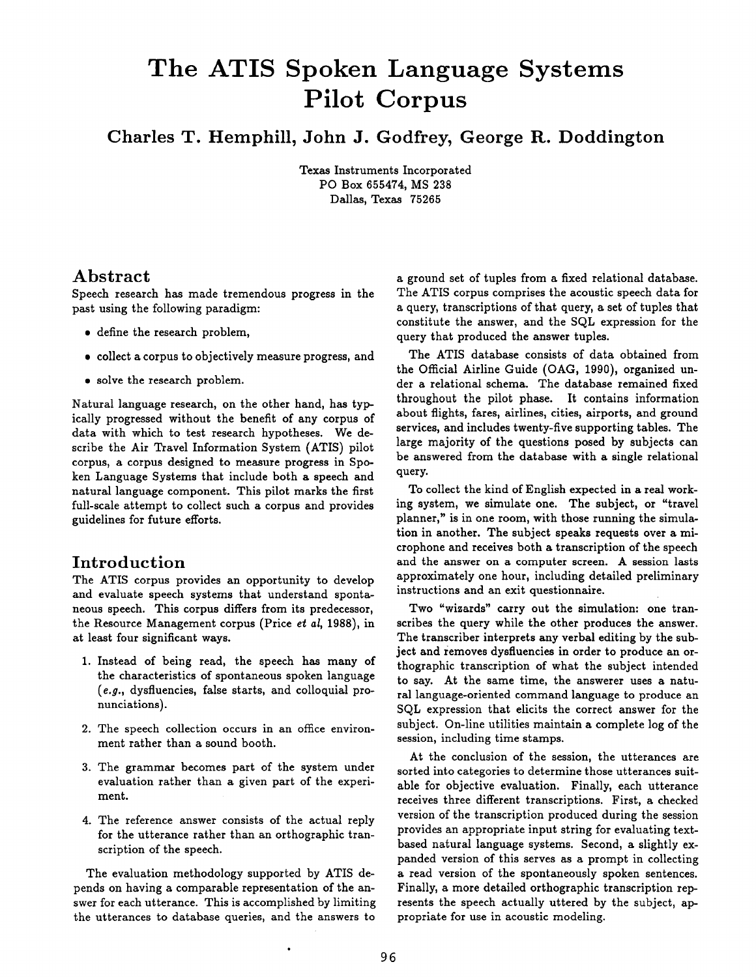# **The ATIS Spoken Language Systems Pilot Corpus**

**Charles T. Hemphill, John J. Godfrey, George R. Doddington** 

Texas Instruments Incorporated PO Box 655474, MS 238 Dallas, Texas 75265

# **Abstract**

Speech research has made tremendous progress in the past using the following paradigm:

- define the research problem,
- collect a corpus to objectively measure progress, and
- solve the research problem.

Natural language research, on the other hand, has typically progressed without the benefit of any corpus of data with which to test research hypotheses. We describe the Air Travel Information System (ATIS) pilot corpus, a corpus designed to measure progress in Spoken Language Systems that include both a speech and natural language component. This pilot marks the first full-scale attempt to collect such a corpus and provides guidelines for future efforts.

# **Introduction**

The ATIS corpus provides an opportunity to develop and evaluate speech systems that understand spontaneous speech. This corpus differs from its predecessor, the Resource Management corpus (Price et al, 1988), in at least four significant ways.

- 1. Instead of being read, the speech has many of the characteristics of spontaneous spoken language *(e.g.,* dysfiuencies, false starts, and colloquial pronunciations).
- 2. The speech collection occurs in an office environment rather than a sound booth.
- 3. The grammar becomes part of the system under evaluation rather than a given part of the experiment.
- 4. The reference answer consists of the actual reply for the utterance rather than an orthographic transcription of the speech.

The evaluation methodology supported by ATIS depends on having a comparable representation of the answer for each utterance. This is accomplished by limiting the utterances to database queries, and the answers to

a ground set of tuples from a fixed relational database. The ATIS corpus comprises the acoustic speech data for a query, transcriptions of that query, a set of tuples that constitute the answer, and the SQL expression for the query that produced the answer tuples.

The ATIS database consists of data obtained from the Official Airline Guide (OAG, 1990), organized under a relational schema. The database remained fixed throughout the pilot phase. It contains information about flights, fares, airlines, cities, airports, and ground services, and includes twenty-five supporting tables. The large majority of the questions posed by subjects can be answered from the database with a single relational query.

To collect the kind of English expected in a real working system, we simulate one. The subject, or "travel planner," is in one room, with those running the simulation in another. The subject speaks requests over a microphone and receives both a transcription of the speech and the answer on a computer screen. A session lasts approximately one hour, including detailed preliminary instructions and an exit questionnaire.

Two "wizards" carry out the simulation: one transcribes the query while the other produces the answer. The transcriber interprets any verbal editing by the subject and removes dysfluencies in order to produce an orthographic transcription of what the subject intended to say. At the same time, the answerer uses a natural language-oriented command language to produce an SQL expression that elicits the correct answer for the subject. On-line utilities maintain a complete log of the session, including time stamps.

At the conclusion of the session, the utterances are sorted into categories to determine those utterances suitable for objective evaluation. Finally, each utterance receives three different transcriptions. First, a checked version of the transcription produced during the session provides an appropriate input string for evaluating textbased natural language systems. Second, a slightly expanded version of this serves as a prompt in collecting a read version of the spontaneously spoken sentences. Finally, a more detailed orthographic transcription represents the speech actually uttered by the subject, appropriate for use in acoustic modeling.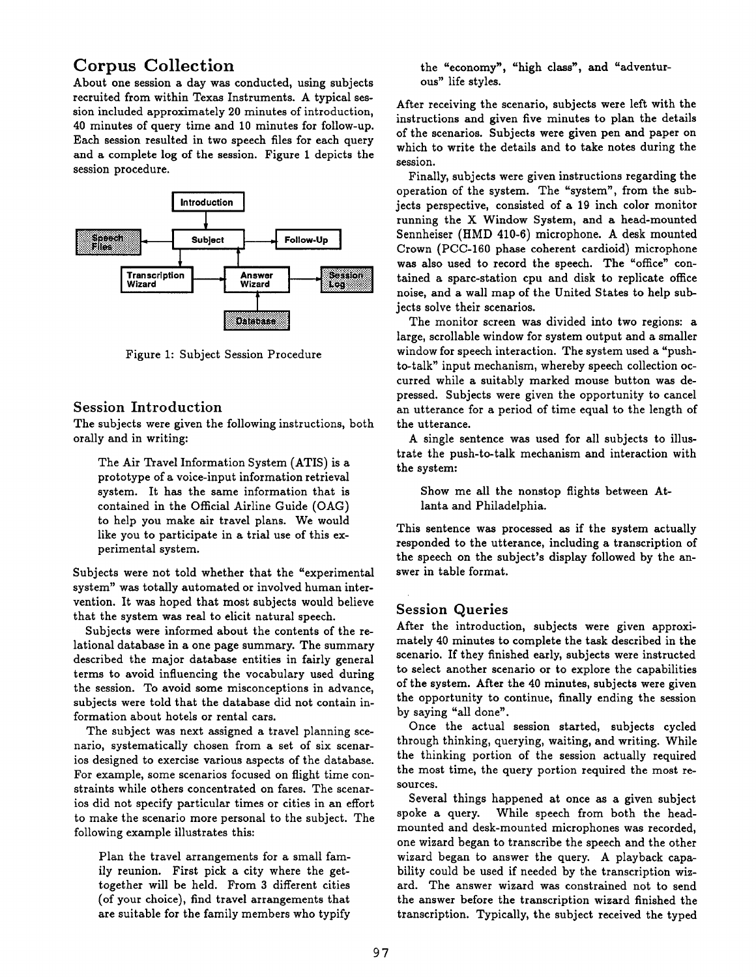# **Corpus Collection**

About one session a day was conducted, using subjects recruited from within Texas Instruments. A typical session included approximately 20 minutes of introduction, 40 minutes of query time and 10 minutes for follow-up. Each session resulted in two speech files for each query and a complete log of the session. Figure 1 depicts the session procedure.



Figure 1: Subject Session Procedure

#### Session Introduction

The subjects were given the following instructions, both orally and in writing:

The Air Travel Information System (ATIS) is a prototype of a voice-input information retrieval system. It has the same information that is contained in the Official Airline Guide (OAG) to help you make air travel plans. We would like you to participate in a trial use of this experimental system.

Subjects were not told whether that the "experimental system" was totally automated or involved human intervention. It was hoped that most subjects would believe that the system was real to elicit natural speech.

Subjects were informed about the contents of the relational database in a one page summary. The summary described the major database entities in fairly general terms to avoid influencing the vocabulary used during the session. To avoid some misconceptions in advance, subjects were told that the database did not contain information about hotels or rental cars.

The subject was next assigned a travel planning scenario, systematically chosen from a set of six scenarios designed to exercise various aspects of the database. For example, some scenarios focused on flight time constraints while others concentrated on fares. The scenarios did not specify particular times or cities in an effort to make the scenario more personal to the subject. The following example illustrates this:

Plan the travel arrangements for a small family reunion. First pick a city where the gettogether will be held. From 3 different cities (of your choice), find travel arrangements that are suitable for the family members who typify

the "economy", "high class", and "adventurous" life styles.

After receiving the scenario, subjects were left with the instructions and given five minutes to plan the details of the scenarios. Subjects were given pen and paper on which to write the details and to take notes during the session.

Finally, subjects were given instructions regarding the operation of the system. The "system", from the subjects perspective, consisted of a 19 inch color monitor running the X Window System, and a head-mounted Sennheiser (HMD 410-6) microphone. A desk mounted Crown (PCC-160 phase coherent cardioid) microphone was also used to record the speech. The "office" contained a spare-station cpu and disk to replicate office noise, and a wall map of the United States to help subjects solve their scenarios.

The monitor screen was divided into two regions: a large, scrollable window for system output and a smaller window for speech interaction. The system used a "pushto-talk" input mechanism, whereby speech collection occurred while a suitably marked mouse button was depressed. Subjects were given the opportunity to cancel an utterance for a period of time equal to the length of the utterance.

A single sentence was used for all subjects to illustrate the push-to-talk mechanism and interaction with the system:

Show me all the nonstop flights between Atlanta and Philadelphia.

This sentence was processed as if the system actually responded to the utterance, including a transcription of the speech on the subject's display followed by the answer in table format.

# **Session Queries**

After the introduction, subjects were given approximately 40 minutes to complete the task described in the scenario. If they finished early, subjects were instructed to select another scenario or to explore the capabilities of the system. After the 40 minutes, subjects were given the opportunity to continue, finally ending the session by saying "all done".

Once the actual session started, subjects cycled through thinking, querying, waiting, and writing. While the thinking portion of the session actually required the most time, the query portion required the most resources.

Several things happened at once as a given subject spoke a query. While speech from both the headmounted and desk-mounted microphones was recorded, one wizard began to transcribe the speech and the other wizard began to answer the query. A playback capability could be used if needed by the transcription wizard. The answer wizard was constrained not to send the answer before the transcription wizard finished the transcription. Typically, the subject received the typed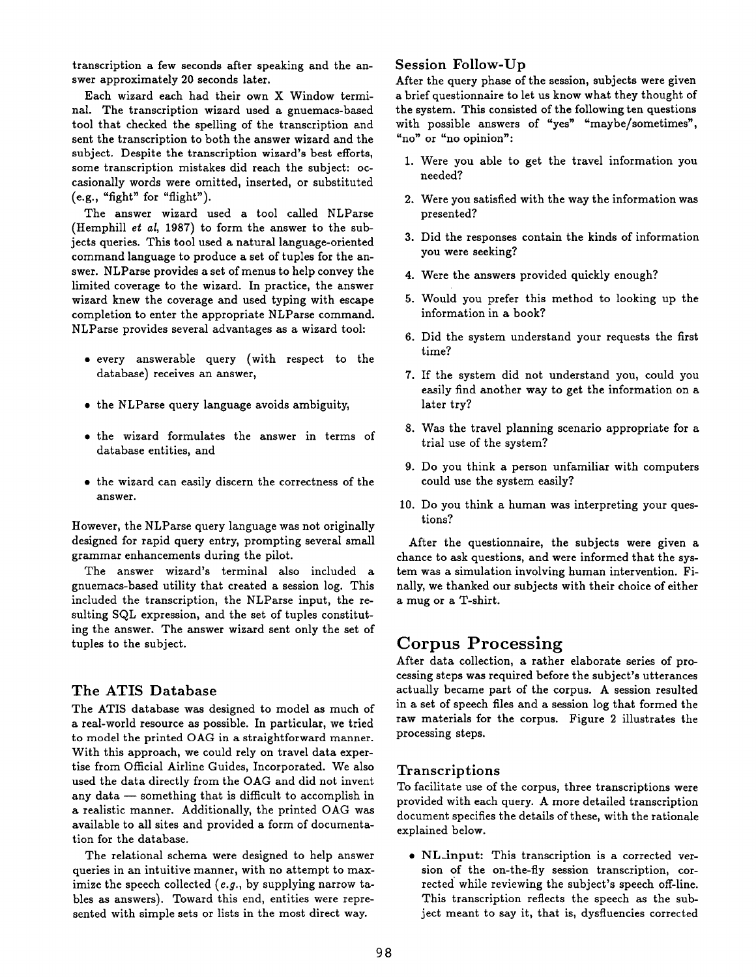transcription a few seconds after speaking and the answer approximately 20 seconds later.

Each wizard each had their own X Window terminal. The transcription wizard used a gnuemacs-based tool that checked the spelling of the transcription and sent the transcription to both the answer wizard and the subject. Despite the transcription wizard's best efforts, some transcription mistakes did reach the subject: occasionally words were omitted, inserted, or substituted (e.g., "fight" for "flight").

The answer wizard used a tool called NLParse (Hemphill et *al,* 1987) to form the answer to the subjects queries. This tool used a natural language-oriented command language to produce a set of tuples for the answer. NLParse provides a set of menus to help convey the limited coverage to the wizard. In practice, the answer wizard knew the coverage and used typing with escape completion to enter the appropriate NLParse command. NLParse provides several advantages as a wizard tool:

- every answerable query (with respect to the database) receives an answer,
- the NLParse query language avoids ambiguity,
- the wizard formulates the answer in terms of database entities, and
- the wizard can easily discern the correctness of the answer.

However, the NLParse query language was not originally designed for rapid query entry, prompting several small grammar enhancements during the pilot.

The answer wizard's terminal also included a gnuemacs-based utility that created a session log. This included the transcription, the NLParse input, the resulting SQL expression, and the set of tuples constituting the answer. The answer wizard sent only the set of tuples to the subject.

#### The ATIS Database

The ATIS database was designed to model as much of a real-world resource as possible. In particular, we tried to model the printed OAG in a straightforward manner. With this approach, we could rely on travel data expertise from Official Airline Guides, Incorporated. We also used the data directly from the OAG and did not invent any data  $-$  something that is difficult to accomplish in a realistic manner. Additionally, the printed OAG was available to all sites and provided a form of documentation for the database.

The relational schema were designed to help answer queries in an intuitive manner, with no attempt to maximize the speech collected (e.g., by supplying narrow tables as answers). Toward this end, entities were represented with simple sets or lists in the most direct way.

#### Session Follow-Up

After the query phase of the session, subjects were given a brief questionnaire to let us know what they thought of the system. This consisted of the following ten questions with possible answers of "yes" "maybe/sometimes", "no" or "no opinion":

- 1. Were you able to get the travel information you needed?
- 2. Were you satisfied with the way the information was presented?
- 3. Did the responses contain the kinds of information you were seeking?
- 4. Were the answers provided quickly enough?
- 5. Would you prefer this method to looking up the information in a book?
- 6. Did the system understand your requests the first time?
- 7. If the system did not understand you, could you easily find another way to get the information on a later try?
- 8. Was the travel planning scenario appropriate for a trial use of the system?
- 9. Do you think a person unfamiliar with computers could use the system easily?
- 10. Do you think a human was interpreting your questions?

After the questionnaire, the subjects were given a chance to ask questions, and were informed that the system was a simulation involving human intervention. Finally, we thanked our subjects with their choice of either a mug or a T-shirt.

# **Corpus Processing**

After data collection, a rather elaborate series of processing steps was required before the subject's utterances actually became part of the corpus. A session resulted in a set of speech files and a session log that formed the raw materials for the corpus. Figure 2 illustrates the processing steps.

#### **Transcriptions**

To facilitate use of the corpus, three transcriptions were provided with each query. A more detailed transcription document specifies the details of these, with the rationale explained below.

• NL-input: This transcription is a corrected version of the on-the-fly session transcription, corrected while reviewing the subject's speech off-line. This transcription reflects the speech as the subject meant to say it, that is, dysfluencies corrected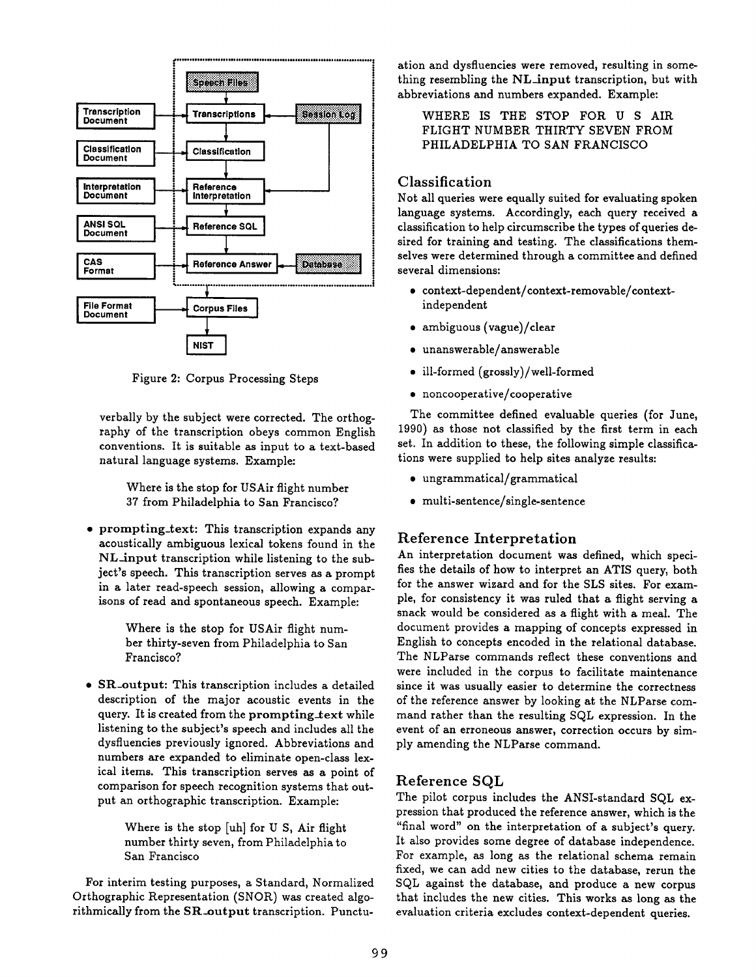

Figure 2: Corpus Processing Steps

verbally by the subject were corrected. The orthography of the transcription obeys common English conventions. It is suitable as input to a text-based natural language systems. Example:

Where is the stop for USAir flight number 37 from Philadelphia to San Francisco?

• prompting\_text: This transcription expands any acoustically ambiguous lexical tokens found in the NL-input transcription while listening to the subject's speech. This transcription serves as a prompt in a later read-speech session, allowing a comparisons of read and spontaneous speech. Example:

> Where is the stop for USAir flight number thirty-seven from Philadelphia to San Francisco?

• SR-output: This transcription includes a detailed description of the major acoustic events in the query. It is created from the prompting-text while listening to the subject's speech and includes all the dysfluencies previously ignored. Abbreviations and numbers are expanded to eliminate open-class lexical items. This transcription serves as a point of comparison for speech recognition systems that output an orthographic transcription. Example:

> Where is the stop [uh] for U S, Air flight number thirty seven, from Philadelphia to San Francisco

For interim testing purposes, a Standard, Normalized Orthographic Representation (SNOR) was created algorithmically from the SR\_output transcription. Punctu-

ation and dysfluencies were removed, resulting in something resembling the NL\_input transcription, but with abbreviations and numbers expanded. Example:

WHERE IS THE STOP FOR U S AIR FLIGHT NUMBER THIRTY SEVEN FROM PHILADELPHIA TO SAN FRANCISCO

#### Classification

Not all queries were equally suited for evaluating spoken language systems. Accordingly, each query received a classification to help circumscribe the types of queries de- | sired for training and testing. The classifications themselves were determined through a committee and defined several dimensions:

- context-dependent/context-removable/contextindependent
- ambiguous (vague)/clear
- unanswerable/answerable
- ill-formed (grossly)/well-formed
- noncooperative/cooperative

The committee defined evaluable queries (for June, 1990) as those not classified by the first term in each set. In addition to these, the following simple classifications were supplied to help sites analyze results:

- ungrammatical/grammatical
- multi-sentence/single-sentence

## Reference Interpretation

An interpretation document was defined, which specifies the details of how to interpret an ATIS query, both for the answer wizard and for the SLS sites. For example, for consistency it was ruled that a flight serving a snack would be considered as a flight with a meal. The document provides a mapping of concepts expressed in English to concepts encoded in the relational database. The NLParse commands reflect these conventions and were included in the corpus to facilitate maintenance since it was usually easier to determine the correctness of the reference answer by looking at the NLParse command rather than the resulting SQL expression. In the event of an erroneous answer, correction occurs by simply amending the NLParse command.

## Reference SQL

The pilot corpus includes the ANSI-standard SQL expression that produced the reference answer, which is the "final word" on the interpretation of a subject's query. It also provides some degree of database independence. For example, as long as the relational schema remain fixed, we can add new cities to the database, rerun the SQL against the database, and produce a new corpus that includes the new cities. This works as long as the evaluation criteria excludes context-dependent queries.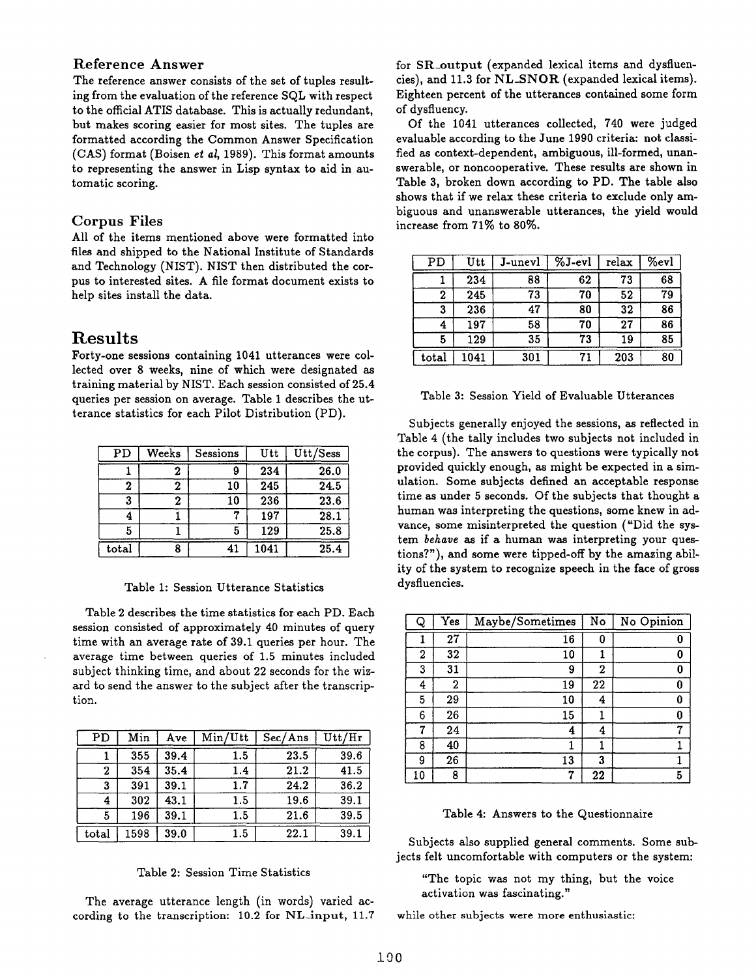#### Reference Answer

The reference answer consists of the set of tuples resulting from the evaluation of the reference SQL with respect to the official ATIS database. This is actually redundant, but makes scoring easier for most sites. The tuples are formatted according the Common Answer Specification (GAS) format (Boisen *et al,* 1989). This format amounts to representing the answer in Lisp syntax to aid in automatic scoring.

#### Corpus Files

All of the items mentioned above were formatted into files and shipped to the National Institute of Standards and Technology (NIST). NIST then distributed the corpus to interested sites. A file format document exists to help sites install the data.

#### **Results**

Forty-one sessions containing 1041 utterances were collected over 8 weeks, nine of which were designated as training material by NIST. Each session consisted of 25.4 queries per session on average. Table 1 describes the utterance statistics for each Pilot Distribution (PD).

| PD             | Weeks | Sessions | Utt  | Utt/Sess |
|----------------|-------|----------|------|----------|
|                |       |          | 234  | 26.0     |
| 2              | 2     | 10       | 245  | 24.5     |
| 3              | 2     | 10       | 236  | 23.6     |
|                |       |          | 197  | 28.1     |
| 5              |       | 5        | 129  | 25.8     |
| $_{\rm total}$ |       | 41       | 1041 | 25.4     |

#### Table 1: Session Utterance Statistics

Table 2 describes the time statistics for each PD. Each session consisted of approximately 40 minutes of query time with an average rate of 39.1 queries per hour. The average time between queries of 1.5 minutes included subject thinking time, and about 22 seconds for the wizard to send the answer to the subject after the transcription.

| PD    | Min  | <b>Ave</b> | Min/Utt | Sec/Ans | $_{\rm Utt/Hr}$ |
|-------|------|------------|---------|---------|-----------------|
|       | 355  | 39.4       | 1.5     | 23.5    | 39.6            |
| 2     | 354  | 35.4       | 1.4     | 21.2    | 41.5            |
| 3     | 391  | 39.1       | 1.7     | 24.2    | 36.2            |
| 4     | 302  | 43.1       | $1.5\,$ | 19.6    | 39.1            |
| 5     | 196  | 39.1       | 1.5     | 21.6    | 39.5            |
| total | 1598 | 39.0       | 1.5     | 22.1    | 39.1            |

#### Table 2: Session Time Statistics

The average utterance length (in words) varied according to the transcription:  $10.2$  for NL-input,  $11.7$  for SR\_output (expanded lexical items and dysfluencies), and 11.3 for NL\_SNOR (expanded lexical items). Eighteen percent of the utterances contained some form of dysfluency.

Of the 1041 utterances collected, 740 were judged evaluable according to the June 1990 criteria: not classified as context-dependent, ambiguous, ill-formed, unanswerable, or noncooperative. These results are shown in Table 3, broken down according to PD. The table also shows that if we relax these criteria to exclude only ambiguous and unanswerable utterances, the yield would increase from 71% to 80%.

| PD    | Utt  | J-unevl | $\sqrt[6]{3-ev}$ | relax | $\sqrt[6]{8}$ evl |
|-------|------|---------|------------------|-------|-------------------|
|       | 234  | 88      | 62               | 73    | 68                |
| 2     | 245  | 73      | 70               | 52    | 79                |
| 3     | 236  | 47      | 80               | 32    | 86                |
| 4     | 197  | 58      | 70               | 27    | 86                |
| 5     | 129  | 35      | 73               | 19    | 85                |
| total | 1041 | 301     | 71               | 203   | 80                |

#### Table 3: Session Yield of Evaluable Utterances

Subjects generally enjoyed the sessions, as reflected in Table 4 (the tally includes two subjects not included in the corpus). The answers to questions were typically not provided quickly enough, as might be expected in a simulation. Some subjects defined an acceptable response time as under 5 seconds. Of the subjects that thought a human was interpreting the questions, some knew in advance, some misinterpreted the question ("Did the system *behave* as if a human was interpreting your questions?"), and some were tipped-off by the amazing ability of the system to recognize speech in the face of gross dysfluencies.

| Q  | Yes | Maybe/Sometimes | No | No Opinion |
|----|-----|-----------------|----|------------|
|    | 27  | 16              | 0  | 0          |
| 2  | 32  | 10              | ı  | 0          |
| 3  | 31  | 9               | 2  | 0          |
| 4  | 2   | 19              | 22 | 0          |
| 5  | 29  | 10              | 4  | 0          |
| 6  | 26  | 15              |    | 0          |
| 7  | 24  | 4               | 4  | 7          |
| 8  | 40  |                 |    |            |
| 9  | 26  | 13              | 3  |            |
| 10 | 8   | 7               | 22 | 5          |

#### Table 4: Answers to the Questionnaire

Subjects also supplied general comments. Some subjects felt uncomfortable with computers or the system:

"The topic was not my thing, but the voice activation was fascinating."

while other subjects were more enthusiastic: